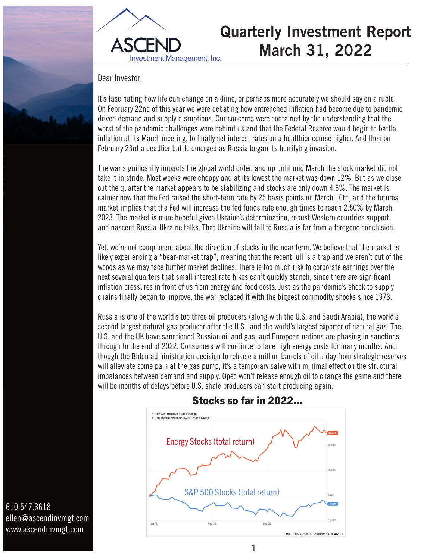



## **Quarterly Investment Report March 31, 2022**

Dear Investor:

It's fascinating how life can change on a dime, or perhaps more accurately we should say on a ruble. On February 22nd of this year we were debating how entrenched inflation had become due to pandemic driven demand and supply disruptions. Our concerns were contained by the understanding that the worst of the pandemic challenges were behind us and that the Federal Reserve would begin to battle inflation at its March meeting, to finally set interest rates on a healthier course higher. And then on February 23rd a deadlier battle emerged as Russia began its horrifying invasion.

The war significantly impacts the global world order, and up until mid March the stock market did not take it in stride. Most weeks were choppy and at its lowest the market was down 12%. But as we close out the quarter the market appears to be stabilizing and stocks are only down 4.6%. The market is calmer now that the Fed raised the short-term rate by 25 basis points on March 16th, and the futures market implies that the Fed will increase the fed funds rate enough times to reach 2.50% by March 2023. The market is more hopeful given Ukraine's determination, robust Western countries support, and nascent Russia-Ukraine talks. That Ukraine will fall to Russia is far from a foregone conclusion.

Yet, we're not complacent about the direction of stocks in the near term. We believe that the market is likely experiencing a "bear-market trap", meaning that the recent lull is a trap and we aren't out of the woods as we may face further market declines. There is too much risk to corporate earnings over the next several quarters that small interest rate hikes can't quickly stanch, since there are significant inflation pressures in front of us from energy and food costs. Just as the pandemic's shock to supply chains finally began to improve, the war replaced it with the biggest commodity shocks since 1973.

Russia is one of the world's top three oil producers (along with the U.S. and Saudi Arabia), the world's second largest natural gas producer after the U.S., and the world's largest exporter of natural gas. The U.S. and the UK have sanctioned Russian oil and gas, and European nations are phasing in sanctions through to the end of 2022. Consumers will continue to face high energy costs for many months. And though the Biden administration decision to release a million barrels of oil a day from strategic reserves will alleviate some pain at the gas pump, it's a temporary salve with minimal effect on the structural imbalances between demand and supply. Opec won't release enough oil to change the game and there will be months of delays before U.S. shale producers can start producing again.



1

## Stocks so far in 2022...

ellen@ascendinvmgt.com www.ascendinvmgt.com